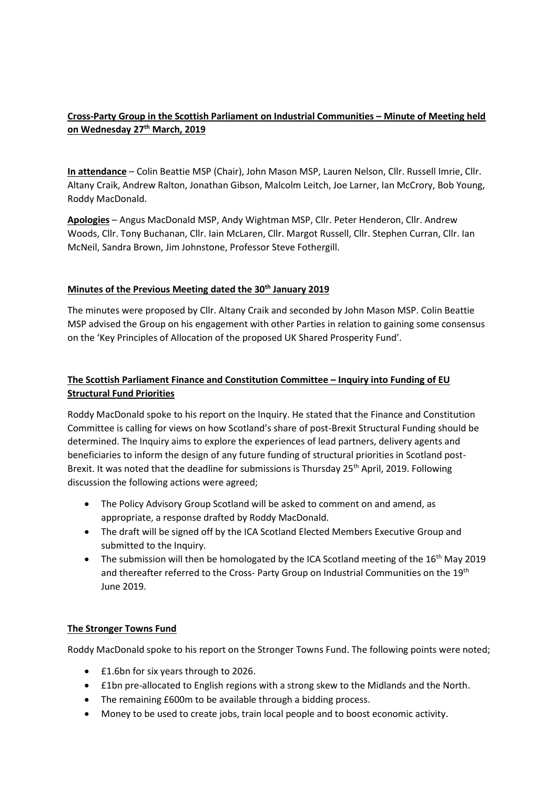# **Cross-Party Group in the Scottish Parliament on Industrial Communities – Minute of Meeting held on Wednesday 27th March, 2019**

**In attendance** – Colin Beattie MSP (Chair), John Mason MSP, Lauren Nelson, Cllr. Russell Imrie, Cllr. Altany Craik, Andrew Ralton, Jonathan Gibson, Malcolm Leitch, Joe Larner, Ian McCrory, Bob Young, Roddy MacDonald.

**Apologies** – Angus MacDonald MSP, Andy Wightman MSP, Cllr. Peter Henderon, Cllr. Andrew Woods, Cllr. Tony Buchanan, Cllr. Iain McLaren, Cllr. Margot Russell, Cllr. Stephen Curran, Cllr. Ian McNeil, Sandra Brown, Jim Johnstone, Professor Steve Fothergill.

### **Minutes of the Previous Meeting dated the 30th January 2019**

The minutes were proposed by Cllr. Altany Craik and seconded by John Mason MSP. Colin Beattie MSP advised the Group on his engagement with other Parties in relation to gaining some consensus on the 'Key Principles of Allocation of the proposed UK Shared Prosperity Fund'.

# **The Scottish Parliament Finance and Constitution Committee – Inquiry into Funding of EU Structural Fund Priorities**

Roddy MacDonald spoke to his report on the Inquiry. He stated that the Finance and Constitution Committee is calling for views on how Scotland's share of post-Brexit Structural Funding should be determined. The Inquiry aims to explore the experiences of lead partners, delivery agents and beneficiaries to inform the design of any future funding of structural priorities in Scotland post-Brexit. It was noted that the deadline for submissions is Thursday 25<sup>th</sup> April, 2019. Following discussion the following actions were agreed;

- The Policy Advisory Group Scotland will be asked to comment on and amend, as appropriate, a response drafted by Roddy MacDonald.
- The draft will be signed off by the ICA Scotland Elected Members Executive Group and submitted to the Inquiry.
- The submission will then be homologated by the ICA Scotland meeting of the  $16<sup>th</sup>$  May 2019 and thereafter referred to the Cross- Party Group on Industrial Communities on the 19th June 2019.

## **The Stronger Towns Fund**

Roddy MacDonald spoke to his report on the Stronger Towns Fund. The following points were noted;

- £1.6bn for six years through to 2026.
- £1bn pre-allocated to English regions with a strong skew to the Midlands and the North.
- The remaining £600m to be available through a bidding process.
- Money to be used to create jobs, train local people and to boost economic activity.